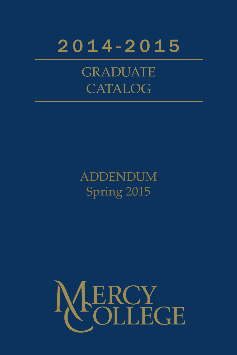

**GRADUATE** CATALOG

# **ADDENDUM** Spring 2015

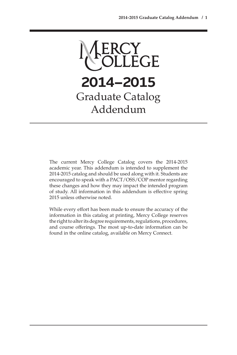

The current Mercy College Catalog covers the 2014-2015 academic year. This addendum is intended to supplement the 2014-2015 catalog and should be used along with it. Students are encouraged to speak with a PACT/OSS/COP mentor regarding these changes and how they may impact the intended program of study. All information in this addendum is effective spring 2015 unless otherwise noted.

While every effort has been made to ensure the accuracy of the information in this catalog at printing, Mercy College reserves the right to alter its degree requirements, regulations, procedures, and course offerings. The most up-to-date information can be found in the online catalog, available on Mercy Connect.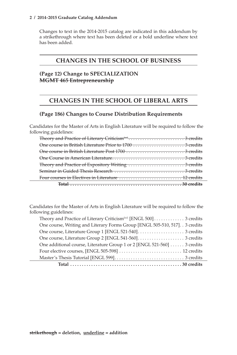#### **2 / 2014-2015 Graduate Catalog Addendum**

Changes to text in the 2014-2015 catalog are indicated in this addendum by a strikethrough where text has been deleted or a bold underline where text has been added.

# **CHANGES IN THE SCHOOL OF BUSINESS**

## **(Page 12) Change to SPECIALIZATION MGMT 465 Entrepreneurship**

# **CHANGES IN THE SCHOOL OF LIBERAL ARTS**

## **(Page 186) Changes to Course Distribution Requirements**

Candidates for the Master of Arts in English Literature will be required to follow the following guidelines:

Candidates for the Master of Arts in English Literature will be required to follow the following guidelines:

| One course, Writing and Literary Forms Group [ENGL 505-510, 517]. . 3 credits |
|-------------------------------------------------------------------------------|
|                                                                               |
|                                                                               |
| One additional course, Literature Group 1 or 2 [ENGL 521-560]  3 credits      |
|                                                                               |
|                                                                               |
|                                                                               |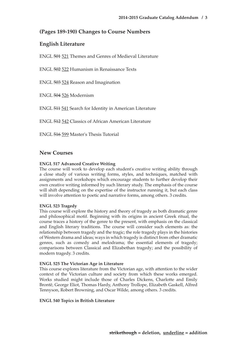## **(Pages 189-190) Changes to Course Numbers**

## **English Literature**

ENGL 501 521 Themes and Genres of Medieval Literature

ENGL 502 522 Humanism in Renaissance Texts

ENGL 503 524 Reason and Imagination

ENGL 504 526 Modernism

ENGL 511 541 Search for Identity in American Literature

ENGL 512 542 Classics of African American Literature

ENGL 516 599 Master's Thesis Tutorial

### **New Courses**

#### **ENGL 517 Advanced Creative Writing**

The course will work to develop each student's creative writing ability through a close study of various writing forms, styles, and techniques, matched with assignments and workshops which encourage students to further develop their own creative writing informed by such literary study. The emphasis of the course will shift depending on the expertise of the instructor running it, but each class will involve attention to poetic and narrative forms, among others. 3 credits.

#### **ENGL 523 Tragedy**

This course will explore the history and theory of tragedy as both dramatic genre and philosophical motif. Beginning with its origins in ancient Greek ritual, the course traces a history of the genre to the present, with emphasis on the classical and English literary traditions. The course will consider such elements as: the relationship between tragedy and the tragic; the role tragedy plays in the histories of Western drama and ideas; ways in which tragedy is distinct from other dramatic genres, such as comedy and melodrama; the essential elements of tragedy; comparisons between Classical and Elizabethan tragedy; and the possibility of modern tragedy. 3 credits.

#### **ENGL 525 The Victorian Age in Literature**

This course explores literature from the Victorian age, with attention to the wider context of the Victorian culture and society from which these works emerged. Works studied might include those of Charles Dickens, Charlotte and Emily Brontë, George Eliot, Thomas Hardy, Anthony Trollope, Elizabeth Gaskell, Alfred Tennyson, Robert Browning, and Oscar Wilde, among others. 3 credits.

#### **ENGL 540 Topics in British Literature**